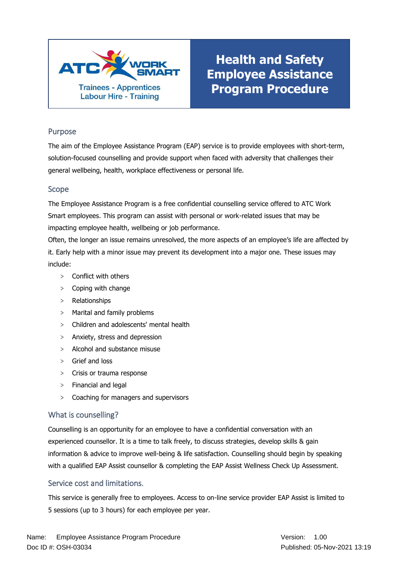

# **Health and Safety Employee Assistance Program Procedure**

### Purpose

The aim of the Employee Assistance Program (EAP) service is to provide employees with short-term, solution-focused counselling and provide support when faced with adversity that challenges their general wellbeing, health, workplace effectiveness or personal life.

#### Scope

The Employee Assistance Program is a free confidential counselling service offered to ATC Work Smart employees. This program can assist with personal or work-related issues that may be impacting employee health, wellbeing or job performance.

Often, the longer an issue remains unresolved, the more aspects of an employee's life are affected by it. Early help with a minor issue may prevent its development into a major one. These issues may include:

- > Conflict with others
- > Coping with change
- > Relationships
- > Marital and family problems
- > Children and adolescents' mental health
- > Anxiety, stress and depression
- > Alcohol and substance misuse
- > Grief and loss
- > Crisis or trauma response
- > Financial and legal
- > Coaching for managers and supervisors

#### What is counselling?

Counselling is an opportunity for an employee to have a confidential conversation with an experienced counsellor. It is a time to talk freely, to discuss strategies, develop skills & gain information & advice to improve well-being & life satisfaction. Counselling should begin by speaking with a qualified EAP Assist counsellor & completing the EAP Assist Wellness Check Up Assessment.

#### Service cost and limitations.

This service is generally free to employees. Access to on-line service provider EAP Assist is limited to 5 sessions (up to 3 hours) for each employee per year.